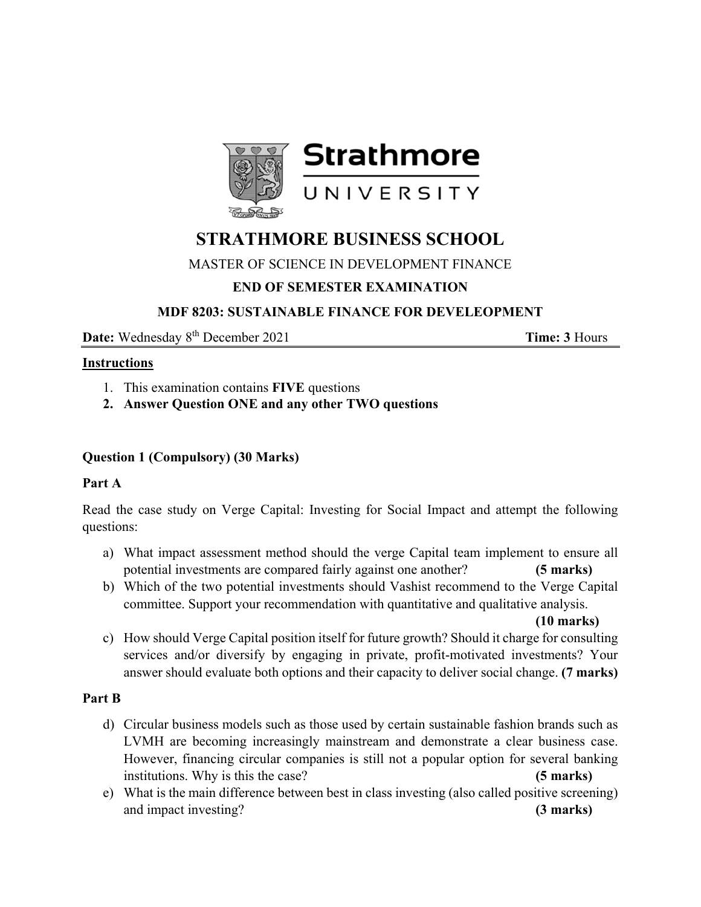

# **STRATHMORE BUSINESS SCHOOL**

#### MASTER OF SCIENCE IN DEVELOPMENT FINANCE

## **END OF SEMESTER EXAMINATION**

#### **MDF 8203: SUSTAINABLE FINANCE FOR DEVELEOPMENT**

**Date:** Wednesday 8<sup>th</sup> December 2021 **Time: 3** Hours

#### **Instructions**

- 1. This examination contains **FIVE** questions
- **2. Answer Question ONE and any other TWO questions**

### **Question 1 (Compulsory) (30 Marks)**

#### **Part A**

Read the case study on Verge Capital: Investing for Social Impact and attempt the following questions:

- a) What impact assessment method should the verge Capital team implement to ensure all potential investments are compared fairly against one another? **(5 marks)**
- b) Which of the two potential investments should Vashist recommend to the Verge Capital committee. Support your recommendation with quantitative and qualitative analysis.

**(10 marks)** 

c) How should Verge Capital position itself for future growth? Should it charge for consulting services and/or diversify by engaging in private, profit-motivated investments? Your answer should evaluate both options and their capacity to deliver social change. **(7 marks)** 

#### **Part B**

- d) Circular business models such as those used by certain sustainable fashion brands such as LVMH are becoming increasingly mainstream and demonstrate a clear business case. However, financing circular companies is still not a popular option for several banking institutions. Why is this the case? **(5 marks)**
- e) What is the main difference between best in class investing (also called positive screening) and impact investing? **(3 marks)**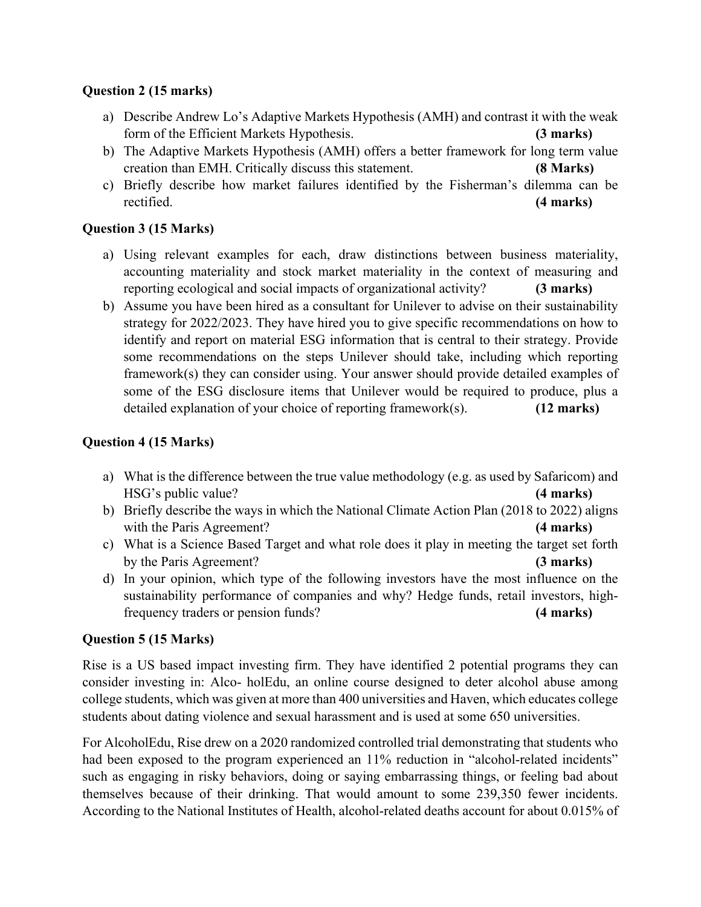#### **Question 2 (15 marks)**

- a) Describe Andrew Lo's Adaptive Markets Hypothesis (AMH) and contrast it with the weak form of the Efficient Markets Hypothesis. **(3 marks)**
- b) The Adaptive Markets Hypothesis (AMH) offers a better framework for long term value creation than EMH. Critically discuss this statement. **(8 Marks)**
- c) Briefly describe how market failures identified by the Fisherman's dilemma can be rectified. **(4 marks)**

## **Question 3 (15 Marks)**

- a) Using relevant examples for each, draw distinctions between business materiality, accounting materiality and stock market materiality in the context of measuring and reporting ecological and social impacts of organizational activity? **(3 marks)**
- b) Assume you have been hired as a consultant for Unilever to advise on their sustainability strategy for 2022/2023. They have hired you to give specific recommendations on how to identify and report on material ESG information that is central to their strategy. Provide some recommendations on the steps Unilever should take, including which reporting framework(s) they can consider using. Your answer should provide detailed examples of some of the ESG disclosure items that Unilever would be required to produce, plus a detailed explanation of your choice of reporting framework(s). **(12 marks)**

## **Question 4 (15 Marks)**

- a) What is the difference between the true value methodology (e.g. as used by Safaricom) and HSG's public value? **(4 marks)**
- b) Briefly describe the ways in which the National Climate Action Plan (2018 to 2022) aligns with the Paris Agreement? **(4 marks) (4 marks)**
- c) What is a Science Based Target and what role does it play in meeting the target set forth by the Paris Agreement?**(3 marks)**
- d) In your opinion, which type of the following investors have the most influence on the sustainability performance of companies and why? Hedge funds, retail investors, highfrequency traders or pension funds? **(4 marks)**

## **Question 5 (15 Marks)**

Rise is a US based impact investing firm. They have identified 2 potential programs they can consider investing in: Alco- holEdu, an online course designed to deter alcohol abuse among college students, which was given at more than 400 universities and Haven, which educates college students about dating violence and sexual harassment and is used at some 650 universities.

For AlcoholEdu, Rise drew on a 2020 randomized controlled trial demonstrating that students who had been exposed to the program experienced an  $11\%$  reduction in "alcohol-related incidents" such as engaging in risky behaviors, doing or saying embarrassing things, or feeling bad about themselves because of their drinking. That would amount to some 239,350 fewer incidents. According to the National Institutes of Health, alcohol-related deaths account for about 0.015% of